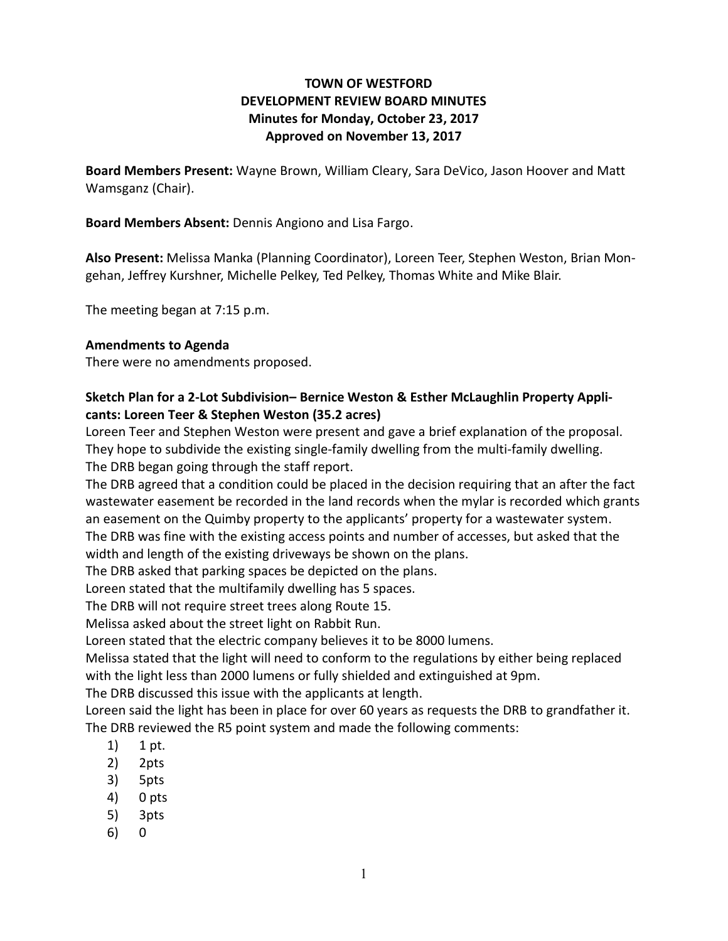# **TOWN OF WESTFORD DEVELOPMENT REVIEW BOARD MINUTES Minutes for Monday, October 23, 2017 Approved on November 13, 2017**

**Board Members Present:** Wayne Brown, William Cleary, Sara DeVico, Jason Hoover and Matt Wamsganz (Chair).

**Board Members Absent:** Dennis Angiono and Lisa Fargo.

**Also Present:** Melissa Manka (Planning Coordinator), Loreen Teer, Stephen Weston, Brian Mongehan, Jeffrey Kurshner, Michelle Pelkey, Ted Pelkey, Thomas White and Mike Blair.

The meeting began at 7:15 p.m.

#### **Amendments to Agenda**

There were no amendments proposed.

### **Sketch Plan for a 2-Lot Subdivision– Bernice Weston & Esther McLaughlin Property Applicants: Loreen Teer & Stephen Weston (35.2 acres)**

Loreen Teer and Stephen Weston were present and gave a brief explanation of the proposal. They hope to subdivide the existing single-family dwelling from the multi-family dwelling. The DRB began going through the staff report.

The DRB agreed that a condition could be placed in the decision requiring that an after the fact wastewater easement be recorded in the land records when the mylar is recorded which grants an easement on the Quimby property to the applicants' property for a wastewater system. The DRB was fine with the existing access points and number of accesses, but asked that the width and length of the existing driveways be shown on the plans.

The DRB asked that parking spaces be depicted on the plans.

Loreen stated that the multifamily dwelling has 5 spaces.

The DRB will not require street trees along Route 15.

Melissa asked about the street light on Rabbit Run.

Loreen stated that the electric company believes it to be 8000 lumens.

Melissa stated that the light will need to conform to the regulations by either being replaced with the light less than 2000 lumens or fully shielded and extinguished at 9pm.

The DRB discussed this issue with the applicants at length.

Loreen said the light has been in place for over 60 years as requests the DRB to grandfather it. The DRB reviewed the R5 point system and made the following comments:

- 1) 1 pt.
- 2) 2pts
- 3) 5pts
- 4) 0 pts
- 5) 3pts
- 6) 0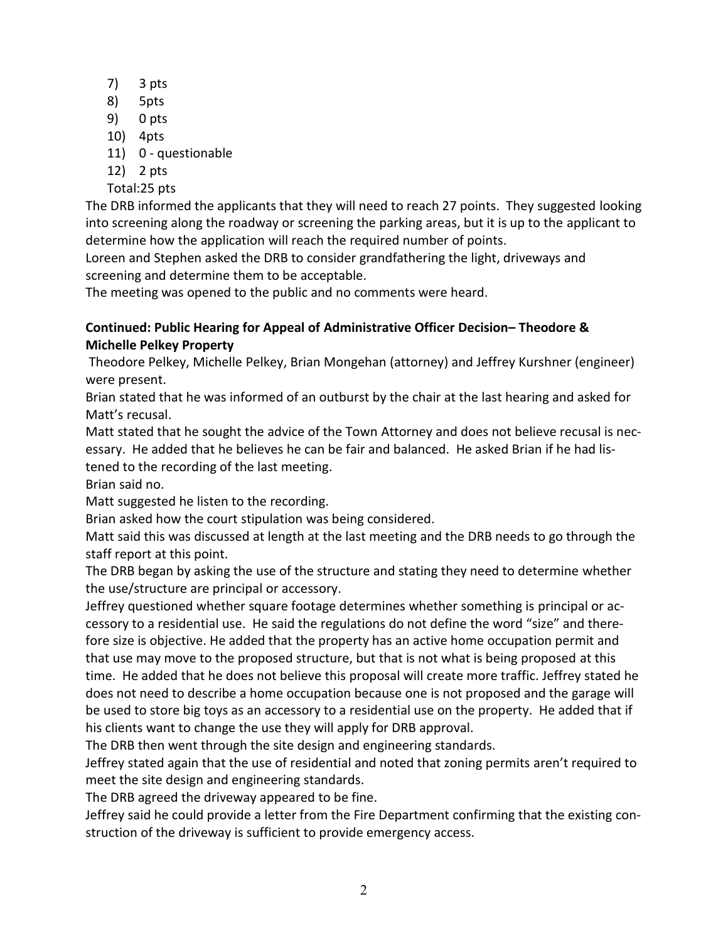- 7) 3 pts
- 8) 5pts
- 9) 0 pts
- 10) 4pts
- 11) 0 questionable
- 12) 2 pts
- Total:25 pts

The DRB informed the applicants that they will need to reach 27 points. They suggested looking into screening along the roadway or screening the parking areas, but it is up to the applicant to determine how the application will reach the required number of points.

Loreen and Stephen asked the DRB to consider grandfathering the light, driveways and screening and determine them to be acceptable.

The meeting was opened to the public and no comments were heard.

# **Continued: Public Hearing for Appeal of Administrative Officer Decision– Theodore & Michelle Pelkey Property**

Theodore Pelkey, Michelle Pelkey, Brian Mongehan (attorney) and Jeffrey Kurshner (engineer) were present.

Brian stated that he was informed of an outburst by the chair at the last hearing and asked for Matt's recusal.

Matt stated that he sought the advice of the Town Attorney and does not believe recusal is necessary. He added that he believes he can be fair and balanced. He asked Brian if he had listened to the recording of the last meeting.

Brian said no.

Matt suggested he listen to the recording.

Brian asked how the court stipulation was being considered.

Matt said this was discussed at length at the last meeting and the DRB needs to go through the staff report at this point.

The DRB began by asking the use of the structure and stating they need to determine whether the use/structure are principal or accessory.

Jeffrey questioned whether square footage determines whether something is principal or accessory to a residential use. He said the regulations do not define the word "size" and therefore size is objective. He added that the property has an active home occupation permit and that use may move to the proposed structure, but that is not what is being proposed at this time. He added that he does not believe this proposal will create more traffic. Jeffrey stated he does not need to describe a home occupation because one is not proposed and the garage will be used to store big toys as an accessory to a residential use on the property. He added that if his clients want to change the use they will apply for DRB approval.

The DRB then went through the site design and engineering standards.

Jeffrey stated again that the use of residential and noted that zoning permits aren't required to meet the site design and engineering standards.

The DRB agreed the driveway appeared to be fine.

Jeffrey said he could provide a letter from the Fire Department confirming that the existing construction of the driveway is sufficient to provide emergency access.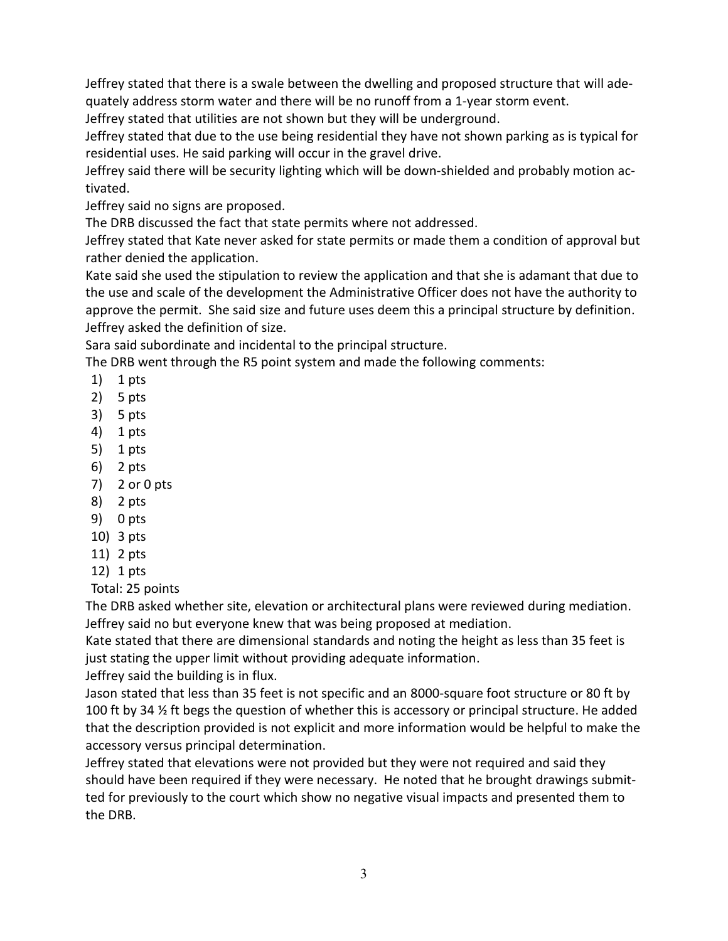Jeffrey stated that there is a swale between the dwelling and proposed structure that will adequately address storm water and there will be no runoff from a 1-year storm event.

Jeffrey stated that utilities are not shown but they will be underground.

Jeffrey stated that due to the use being residential they have not shown parking as is typical for residential uses. He said parking will occur in the gravel drive.

Jeffrey said there will be security lighting which will be down-shielded and probably motion activated.

Jeffrey said no signs are proposed.

The DRB discussed the fact that state permits where not addressed.

Jeffrey stated that Kate never asked for state permits or made them a condition of approval but rather denied the application.

Kate said she used the stipulation to review the application and that she is adamant that due to the use and scale of the development the Administrative Officer does not have the authority to approve the permit. She said size and future uses deem this a principal structure by definition. Jeffrey asked the definition of size.

Sara said subordinate and incidental to the principal structure.

The DRB went through the R5 point system and made the following comments:

- 1) 1 pts
- 2) 5 pts
- 3) 5 pts
- 4) 1 pts
- 5) 1 pts
- 6) 2 pts
- 7) 2 or 0 pts
- 8) 2 pts
- 9) 0 pts
- 10) 3 pts
- 11) 2 pts
- 12) 1 pts

Total: 25 points

The DRB asked whether site, elevation or architectural plans were reviewed during mediation. Jeffrey said no but everyone knew that was being proposed at mediation.

Kate stated that there are dimensional standards and noting the height as less than 35 feet is just stating the upper limit without providing adequate information.

Jeffrey said the building is in flux.

Jason stated that less than 35 feet is not specific and an 8000-square foot structure or 80 ft by 100 ft by 34 % ft begs the question of whether this is accessory or principal structure. He added that the description provided is not explicit and more information would be helpful to make the accessory versus principal determination.

Jeffrey stated that elevations were not provided but they were not required and said they should have been required if they were necessary. He noted that he brought drawings submitted for previously to the court which show no negative visual impacts and presented them to the DRB.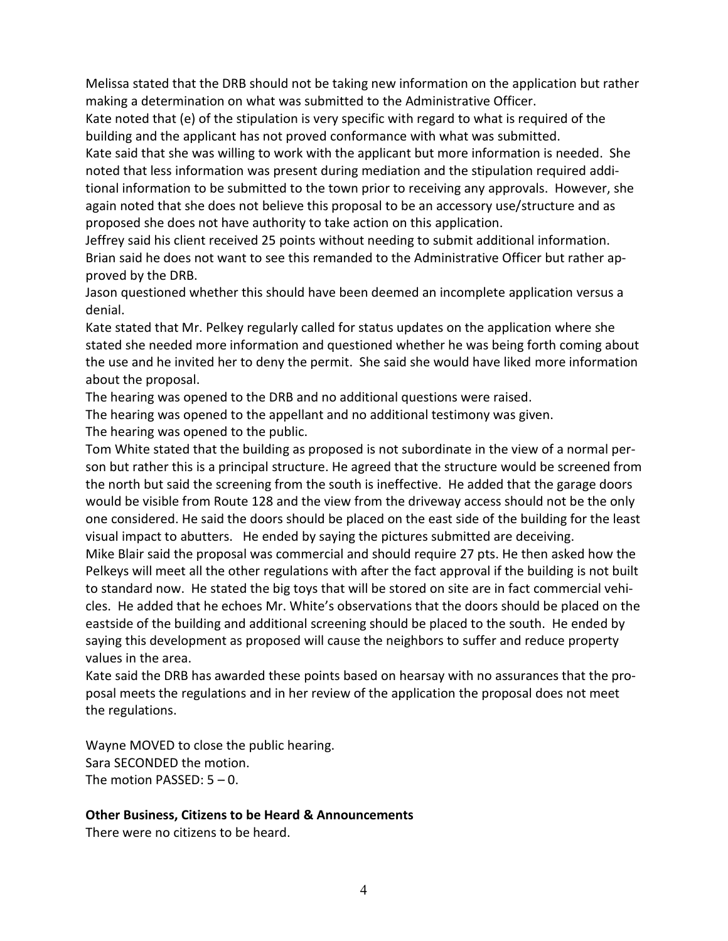Melissa stated that the DRB should not be taking new information on the application but rather making a determination on what was submitted to the Administrative Officer.

Kate noted that (e) of the stipulation is very specific with regard to what is required of the building and the applicant has not proved conformance with what was submitted.

Kate said that she was willing to work with the applicant but more information is needed. She noted that less information was present during mediation and the stipulation required additional information to be submitted to the town prior to receiving any approvals. However, she again noted that she does not believe this proposal to be an accessory use/structure and as proposed she does not have authority to take action on this application.

Jeffrey said his client received 25 points without needing to submit additional information. Brian said he does not want to see this remanded to the Administrative Officer but rather approved by the DRB.

Jason questioned whether this should have been deemed an incomplete application versus a denial.

Kate stated that Mr. Pelkey regularly called for status updates on the application where she stated she needed more information and questioned whether he was being forth coming about the use and he invited her to deny the permit. She said she would have liked more information about the proposal.

The hearing was opened to the DRB and no additional questions were raised.

The hearing was opened to the appellant and no additional testimony was given.

The hearing was opened to the public.

Tom White stated that the building as proposed is not subordinate in the view of a normal person but rather this is a principal structure. He agreed that the structure would be screened from the north but said the screening from the south is ineffective. He added that the garage doors would be visible from Route 128 and the view from the driveway access should not be the only one considered. He said the doors should be placed on the east side of the building for the least visual impact to abutters. He ended by saying the pictures submitted are deceiving. Mike Blair said the proposal was commercial and should require 27 pts. He then asked how the Pelkeys will meet all the other regulations with after the fact approval if the building is not built to standard now. He stated the big toys that will be stored on site are in fact commercial vehicles. He added that he echoes Mr. White's observations that the doors should be placed on the eastside of the building and additional screening should be placed to the south. He ended by

saying this development as proposed will cause the neighbors to suffer and reduce property values in the area.

Kate said the DRB has awarded these points based on hearsay with no assurances that the proposal meets the regulations and in her review of the application the proposal does not meet the regulations.

Wayne MOVED to close the public hearing. Sara SECONDED the motion. The motion PASSED: 5 – 0.

# **Other Business, Citizens to be Heard & Announcements**

There were no citizens to be heard.